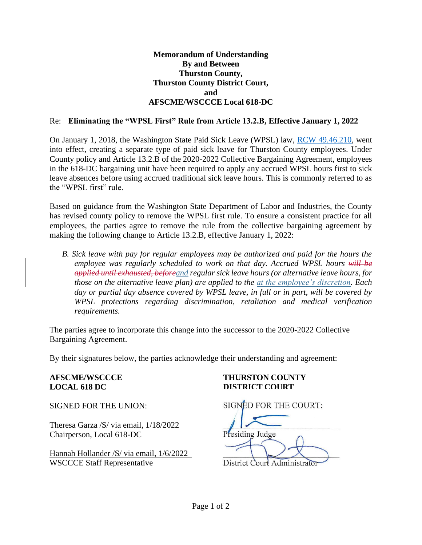## **Memorandum of Understanding By and Between Thurston County, Thurston County District Court, and AFSCME/WSCCCE Local 618-DC**

## Re: **Eliminating the "WPSL First" Rule from Article 13.2.B, Effective January 1, 2022**

On January 1, 2018, the Washington State Paid Sick Leave (WPSL) law, [RCW 49.46.210,](https://app.leg.wa.gov/rcw/default.aspx?cite=49.46.210) went into effect, creating a separate type of paid sick leave for Thurston County employees. Under County policy and Article 13.2.B of the 2020-2022 Collective Bargaining Agreement, employees in the 618-DC bargaining unit have been required to apply any accrued WPSL hours first to sick leave absences before using accrued traditional sick leave hours. This is commonly referred to as the "WPSL first" rule.

Based on guidance from the Washington State Department of Labor and Industries, the County has revised county policy to remove the WPSL first rule. To ensure a consistent practice for all employees, the parties agree to remove the rule from the collective bargaining agreement by making the following change to Article 13.2.B, effective January 1, 2022:

*B. Sick leave with pay for regular employees may be authorized and paid for the hours the employee was regularly scheduled to work on that day. Accrued WPSL hours will be applied until exhausted, beforeand regular sick leave hours (or alternative leave hours, for those on the alternative leave plan) are applied to the at the employee's discretion. Each day or partial day absence covered by WPSL leave, in full or in part, will be covered by WPSL protections regarding discrimination, retaliation and medical verification requirements.*

The parties agree to incorporate this change into the successor to the 2020-2022 Collective Bargaining Agreement.

By their signatures below, the parties acknowledge their understanding and agreement:

**LOCAL 618 DC DISTRICT COURT**

Theresa Garza /S/ via email, 1/18/2022<br>
Chairnerson. Local 618-DC<br>
Presiding Judge Chairperson, Local 618-DC

Hannah Hollander /S/ via email, 1/6/2022 WSCCCE Staff Representative District Court Administrator

## **AFSCME/WSCCCE THURSTON COUNTY**

SIGNED FOR THE UNION: SIGNED FOR THE COURT: